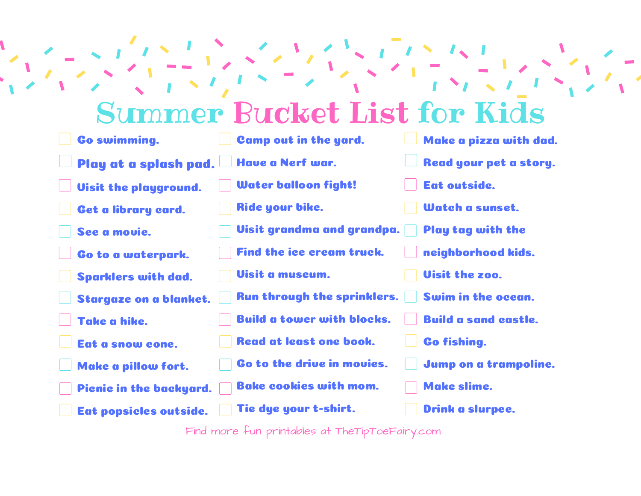## Summer Bucket List for Kids

| <b>Go swimming.</b>           | Camp out in the yard.              | Make a pizza with dad.      |
|-------------------------------|------------------------------------|-----------------------------|
| Play at a splash pad.         | Have a Nerf war.                   | Read your pet a story.      |
| <b>Uisit the playground.</b>  | Water balloon fight!               | Eat outside.                |
| Get a library card.           | Ride your bike.                    | Watch a sunset.             |
| See a movie.                  | Visit grandma and grandpa.         | Play tag with the           |
| Go to a waterpark.            | Find the ice cream truck.          | neighborhood kids.          |
| <b>Sparklers with dad.</b>    | <b>Uisit a museum.</b>             | <b>Uisit the zoo.</b>       |
| <b>Stargaze on a blanket.</b> | <b>Run through the sprinklers.</b> | Swim in the ocean.          |
| Take a hike.                  | <b>Build a tower with blocks.</b>  | <b>Build a sand castle.</b> |
| Eat a snow cone.              | <b>Read at least one book.</b>     | <b>Go fishing.</b>          |
| Make a pillow fort.           | Go to the drive in movies.         | Jump on a trampoline.       |
| Picnic in the backyard.       | <b>Bake cookies with mom.</b>      | <b>Make slime.</b>          |
| Eat popsicles outside.        | Tie dye your t-shirt.              | Drink a slurpee.            |

Find more fun printables at TheTipToeFairy.com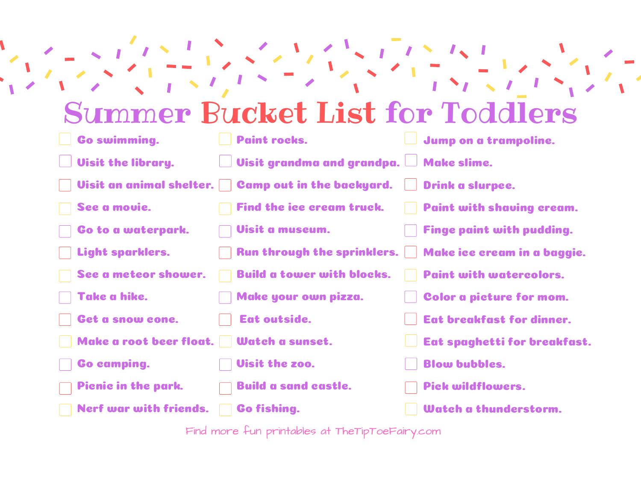## Summer Bucket List for Toddlers

| <b>Go swimming.</b>                         | <b>Paint rocks.</b>                    | Jump on a trampoline.                                       |
|---------------------------------------------|----------------------------------------|-------------------------------------------------------------|
| <b>Uisit the library.</b>                   | Visit grandma and grandpa. Make slime. |                                                             |
| Visit an animal shelter.                    | <b>Camp out in the backyard.</b>       | <b>Drink</b> a slurpee.                                     |
| See a movie.                                | Find the ice cream truck.              | <b>Paint with shaving cream.</b>                            |
| Go to a waterpark.                          | Visit a museum.                        | <b>Finge paint with pudding.</b>                            |
| Light sparklers.                            |                                        | Run through the sprinklers.     Make ice cream in a baggie. |
| See a meteor shower.                        | <b>Build a tower with blocks.</b>      | <b>Paint with watercolors.</b>                              |
| Take a hike.                                | Make your own pizza.                   | Color a picture for mom.                                    |
| Get a snow cone.                            | Eat outside.                           | <b>Eat breakfast for dinner.</b>                            |
| Make a root beer float.     Watch a sunset. |                                        | Eat spaghetti for breakfast.                                |
| <b>Go camping.</b>                          | <b>Uisit the zoo.</b>                  | <b>Blow bubbles.</b>                                        |
| Picnic in the park.                         | <b>Build a sand castle.</b>            | <b>Pick wildflowers.</b>                                    |
| <b>Nerf war with friends.</b>               | <b>Go fishing.</b>                     | Watch a thunderstorm.                                       |

Find more fun printables at TheTipToeFairy.com